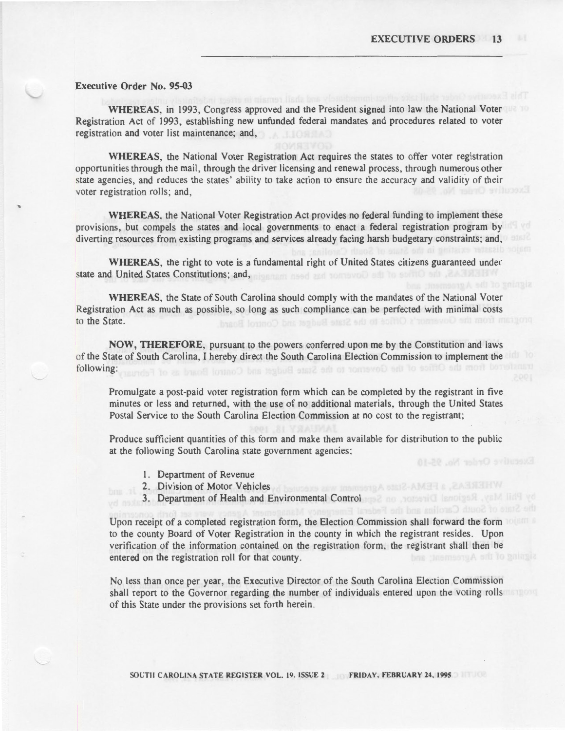## Executive Order No. 95-03

WHEREAS, in 1993, Congress approved and the President signed into law the National Voter Registration Act of 1993, establishing new unfunded federal mandates and procedures related to voter registration and voter list maintenance; and,

WHEREAS, the National Voter Registration Act requires the states to offer voter registration opportunities through the mail, through the driver licensing and renewal process, through numerous other state agencies, and reduces the states' ability to take action to ensure the accuracy and validity of their voter registration rolls; and,

WHEREAS, the National Voter Registration Act provides no federal funding to implement these provisions, but compels the states and local governments to enact a federal registration program by diverting resources from existing programs and services already facing harsh budgetary constraints; and,

WHEREAS, the right to vote is a fundamental right of United States citizens guaranteed under state and United States Constitutions; and,

WHEREAS, the State of South Carolina should comply with the mandates of the National Voter Registration Act as much as possible, so long as such compliance can be perfected with minimal costs to the State.

NOW, THEREFORE, pursuant to the powers conferred upon me by the Constitution and laws of the State of South Carolina, I hereby direct the South Carolina Election Commission to implement the following:

Promulgate a post-paid voter registration form which can be completed by the registrant in five minutes or less and returned, with the use of no additional materials, through the United States Postal Service to the South Carolina Election Commission at no cost to the registrant;

Produce sufficient quantities of this form and make them available for distribution to the public at the following South Carolina state government agencies;

- 1. Department of Revenue
- 2. Division of Motor Vehicles
- 3. Department of Health and Environmental Control and anomysis and sending of the line

Upon receipt of a completed registration form, the Election Commission shall forward the form to the county Board of Voter Registration in the county in which the registrant resides. Upon verification of the information contained on the registration form, the registrant shall then be entered on the registration roll for that county.

No less than once per year, the Executive Director of the South Carolina Election Commission shall report to the Governor regarding the number of individuals entered upon the voting rolls of this State under the provisions set forth herein .

SOUTH CAROLINA STATE REGISTER VOL. 19. ISSUE 2 FRIDAY, FEBRUARY 24, 1995